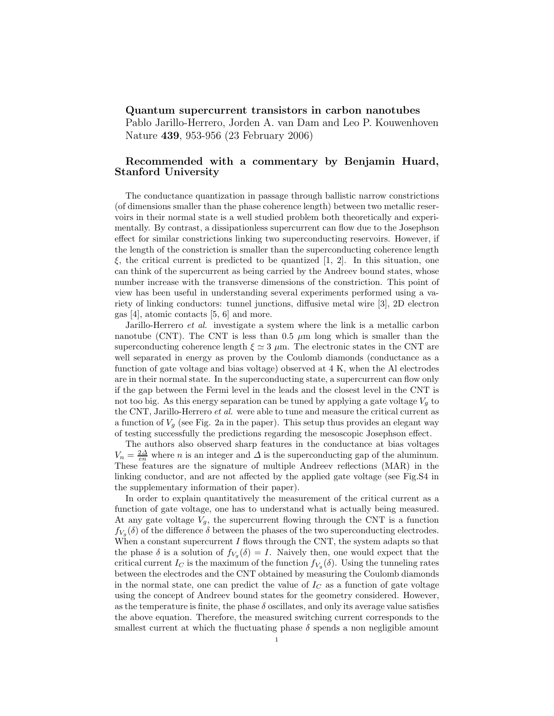## Quantum supercurrent transistors in carbon nanotubes

Pablo Jarillo-Herrero, Jorden A. van Dam and Leo P. Kouwenhoven Nature 439, 953-956 (23 February 2006)

## Recommended with a commentary by Benjamin Huard, Stanford University

The conductance quantization in passage through ballistic narrow constrictions (of dimensions smaller than the phase coherence length) between two metallic reservoirs in their normal state is a well studied problem both theoretically and experimentally. By contrast, a dissipationless supercurrent can flow due to the Josephson effect for similar constrictions linking two superconducting reservoirs. However, if the length of the constriction is smaller than the superconducting coherence length ξ, the critical current is predicted to be quantized [1, 2]. In this situation, one can think of the supercurrent as being carried by the Andreev bound states, whose number increase with the transverse dimensions of the constriction. This point of view has been useful in understanding several experiments performed using a variety of linking conductors: tunnel junctions, diffusive metal wire [3], 2D electron gas [4], atomic contacts [5, 6] and more.

Jarillo-Herrero et al. investigate a system where the link is a metallic carbon nanotube (CNT). The CNT is less than 0.5  $\mu$ m long which is smaller than the superconducting coherence length  $\xi \simeq 3 \mu$ m. The electronic states in the CNT are well separated in energy as proven by the Coulomb diamonds (conductance as a function of gate voltage and bias voltage) observed at 4 K, when the Al electrodes are in their normal state. In the superconducting state, a supercurrent can flow only if the gap between the Fermi level in the leads and the closest level in the CNT is not too big. As this energy separation can be tuned by applying a gate voltage  $V_g$  to the CNT, Jarillo-Herrero  $et\;al.$  were able to tune and measure the critical current as a function of  $V_q$  (see Fig. 2a in the paper). This setup thus provides an elegant way of testing successfully the predictions regarding the mesoscopic Josephson effect.

The authors also observed sharp features in the conductance at bias voltages  $V_n = \frac{2\Delta}{en}$  where *n* is an integer and  $\Delta$  is the superconducting gap of the aluminum. These features are the signature of multiple Andreev reflections (MAR) in the linking conductor, and are not affected by the applied gate voltage (see Fig.S4 in the supplementary information of their paper).

In order to explain quantitatively the measurement of the critical current as a function of gate voltage, one has to understand what is actually being measured. At any gate voltage  $V_g$ , the supercurrent flowing through the CNT is a function  $f_{V_g}(\delta)$  of the difference  $\delta$  between the phases of the two superconducting electrodes. When a constant supercurrent  $I$  flows through the CNT, the system adapts so that the phase  $\delta$  is a solution of  $f_{V_g}(\delta) = I$ . Naively then, one would expect that the critical current  $I_C$  is the maximum of the function  $f_{V_g}(\delta)$ . Using the tunneling rates between the electrodes and the CNT obtained by measuring the Coulomb diamonds in the normal state, one can predict the value of  $I<sub>C</sub>$  as a function of gate voltage using the concept of Andreev bound states for the geometry considered. However, as the temperature is finite, the phase  $\delta$  oscillates, and only its average value satisfies the above equation. Therefore, the measured switching current corresponds to the smallest current at which the fluctuating phase  $\delta$  spends a non negligible amount